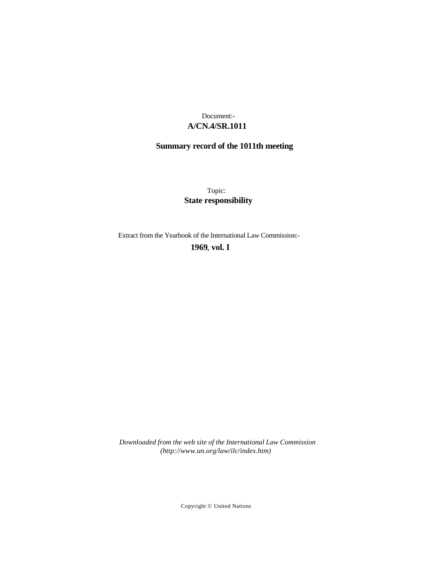## **A/CN.4/SR.1011** Document:-

# **Summary record of the 1011th meeting**

Topic: **State responsibility**

Extract from the Yearbook of the International Law Commission:-

**1969** , **vol. I**

*Downloaded from the web site of the International Law Commission (http://www.un.org/law/ilc/index.htm)*

Copyright © United Nations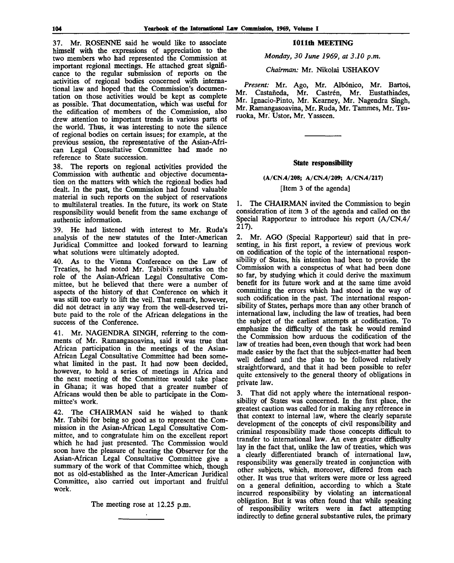37. Mr. ROSENNE said he would like to associate himself with the expressions of appreciation to the two members who had represented the Commission at important regional meetings. He attached great significance to the regular submission of reports on the activities of regional bodies concerned with international law and hoped that the Commission's documentation on those activities would be kept as complete as possible. That documentation, which was useful for the edification of members of the Commission, also drew attention to important trends in various parts of the world. Thus, it was interesting to note the silence of regional bodies on certain issues; for example, at the previous session, the representative of the Asian-African Legal Consultative Committee had made no reference to State succession.

38. The reports on regional activities provided the Commission with authentic and objective documentation on the matters with which the regional bodies had dealt. In the past, the Commission had found valuable material in such reports on the subject of reservations to multilateral treaties. In the future, its work on State responsibility would benefit from the same exchange of authentic information.

39. He had listened with interest to Mr. Ruda's analysis of the new statutes of the Inter-American Juridical Committee and looked forward to learning what solutions were ultimately adopted.

40. As to the Vienna Conference on the Law of Treaties, he had noted Mr. Tabibi's remarks on the role of the Asian-African Legal Consultative Committee, but he believed that there were a number of aspects of the history of that Conference on which it was still too early to lift the veil. That remark, however, did not detract in any way from the well-deserved tribute paid to the role of the African delegations in the success of the Conference.

41. Mr. NAGENDRA SINGH, referring to the comments of Mr. Ramangasoavina, said it was true that African participation in the meetings of the Asian-African Legal Consultative Committee had been somewhat limited in the past. It had now been decided, however, to hold a series of meetings in Africa and the next meeting of the Committee would take place in Ghana; it was hoped that a greater number of Africans would then be able to participate in the Committee's work.

42. The CHAIRMAN said he wished to thank Mr. Tabibi for being so good as to represent the Commission in the Asian-African Legal Consultative Committee, and to congratulate him on the excellent report which he had just presented. The Commission would soon have the pleasure of hearing the Observer for the Asian-African Legal Consultative Committee give a summary of the work of that Committee which, though not as old-established as the Inter-American Juridical Committee, also carried out important and fruitful work.

The meeting rose at 12.25 p.m.

### **1011th MEETING**

*Monday, 30 June 1969, at 3.10 p.m.*

### *Chairman:* Mr. Nikolai USHAKOV

Present: Mr. Ago, Mr. Albónico, Mr. Bartoš, Mr. Castañeda, Mr. Castrén, Mr. Eustathiades, Mr. Ignacio-Pinto, Mr. Kearney, Mr. Nagendra Singh, Mr. Ramangasoavina, Mr. Ruda, Mr. Tammes, Mr. Tsuruoka, Mr. Ustor, Mr. Yasseen.

#### **State responsibility**

#### (A/CN.4/208; A/CN.4/209; A/CN.4/217)

[Item 3 of the agenda]

1. The CHAIRMAN invited the Commission to begin consideration of item 3 of the agenda and called on the Special Rapporteur to introduce his report (A/CN.4/ 217).

2. Mr. AGO (Special Rapporteur) said that in presenting, in his first report, a review of previous work on codification of the topic of the international responsibility of States, his intention had been to provide the Commission with a conspectus of what had been done so far, by studying which it could derive the maximum benefit for its future work and at the same time avoid committing the errors which had stood in the way of such codification in the past. The international responsibility of States, perhaps more than any other branch of international law, including the law of treaties, had been the subject of the earliest attempts at codification. To emphasize the difficulty of the task he would remind the Commission how arduous the codification of the law of treaties had been, even though that work had been made easier by the fact that the subject-matter had been well defined and the plan to be followed relatively straightforward, and that it had been possible to refer quite extensively to the general theory of obligations in private law.

3. That did not apply where the international responsibility of States was concerned. In the first place, the greatest caution was called for in making any reference in that context to internal law, where the clearly separate development of the concepts of civil responsibility and criminal responsibility made those concepts difficult to transfer to international law. An even greater difficulty lay in the fact that, unlike the law of treaties, which was a clearly differentiated branch of international law, responsibility was generally treated in conjunction with other subjects, which, moreover, differed from each other. It was true that writers were more or less agreed on a general definition, according to which a State incurred responsibility by violating an international obligation. But it was often found that while speaking of responsibility writers were in fact attempting indirectly to define general substantive rules, the primary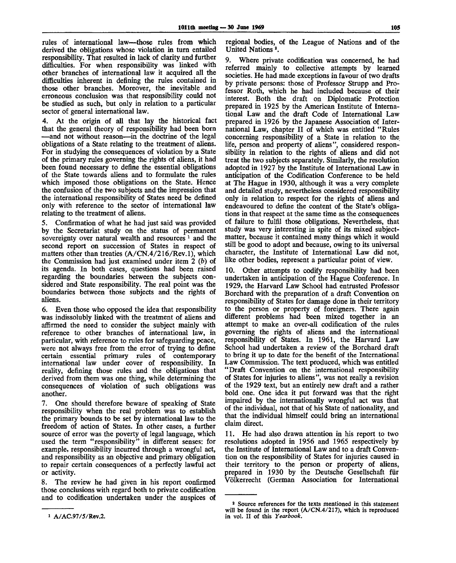rules of international law—those rules from which derived the obligations whose violation in turn entailed responsibility. That resulted in lack of clarity and further difficulties. For when responsibility was linked with other branches of international law it acquired all the difficulties inherent in defining the rules contained in those other branches. Moreover, the inevitable and erroneous conclusion was that responsibility could not be studied as such, but only in relation to a particular sector of general international law.

4. At the origin of all that lay the historical fact that the general theory of responsibility had been born —and not without reason—in the doctrine of the legal obligations of a State relating to the treatment of aliens. For in studying the consequences of violation by a State of the primary rules governing the rights of aliens, it had been found necessary to define the essential obligations of the State towards aliens and to formulate the rules which imposed those obligations on the State. Hence the confusion of the two subjects and the impression that the international responsibility of States need be defined only with reference to the sector of international law relating to the treatment of aliens.

5. Confirmation of what he had just said was provided by the Secretariat study on the status of permanent sovereignty over natural wealth and resources<sup>1</sup> and the second report on succession of States in respect of matters other than treaties (A/CN.4/216/Rev.l), which the Commission had just examined under item 2 *(b)* of its agenda. In both cases, questions had been raised regarding the boundaries between the subjects considered and State responsibility. The real point was the boundaries between those subjects and the rights of aliens.

6. Even those who opposed the idea that responsibility was indissolubly linked with the treatment of aliens and affirmed the need to consider the subject mainly with reference to other branches of international law, in particular, with reference to rules for safeguarding peace, were not always free from the error of trying to define certain essential primary rules of contemporary international law under cover of responsibility. In reality, defining those rules and the obligations that derived from them was one thing, while determining the consequences of violation of such obligations was another.

7. One should therefore beware of speaking of State responsibility when the real problem was to establish the primary bounds to be set by international law to the freedom of action of States. In other cases, a further source of error was the poverty of legal language, which used the term "responsibility" in different senses: for example, responsibility incurred through a wrongful act, and responsibility as an objective and primary obligation to repair certain consequences of a perfectly lawful act or activity.

8. The review he had given in his report confirmed those conclusions with regard both to private codification and to codification undertaken under the auspices of regional bodies, of the League of Nations and of the United Nations<sup>2</sup>.

9. Where private codification was concerned, he had referred mainly to collective attempts by learned societies. He had made exceptions in favour of two drafts by private persons: those of Professor Strupp and Professor Roth, which he had included because of their interest. Both the draft on Diplomatic Protection prepared in 1925 by the American Institute of International Law and the draft Code of International Law prepared in 1926 by the Japanese Association of International Law, chapter II of which was entitled "Rules concerning responsibility of a State in relation to the life, person and property of aliens", considered responsibility in relation to the rights of aliens and did not treat the two subjects separately. Similarly, the resolution adopted in 1927 by the Institute of International Law in anticipation of the Codification Conference to be held at The Hague in 1930, although it was a very complete and detailed study, nevertheless considered responsibility only in relation to respect for the rights of aliens and endeavoured to define the content of the State's obligations in that respect at the same time as the consequences of failure to fulfil those obligations. Nevertheless, that study was very interesting in spite of its mixed subjectmatter, because it contained many things which it would still be good to adopt and because, owing to its universal character, the Institute of International Law did not, like other bodies, represent a particular point of view.

10. Other attempts to codify responsibility had been undertaken in anticipation of the Hague Conference. In 1929, the Harvard Law School had entrusted Professor Borchard with the preparation of a draft Convention on responsibility of States for damage done in their territory to the person or property of foreigners. There again different problems had been mixed together in an attempt to make an over-all codification of the rules governing the rights of aliens and the international responsibility of States. In 1961, the Harvard Law School had undertaken a review of the Borchard draft to bring it up to date for the benefit of the International Law Commission. The text produced, which was entitled "Draft Convention on the international responsibility of States for injuries to aliens", was not really a revision of the 1929 text, but an entirely new draft and a rather bold one. One idea it put forward was that the right impaired by the internationally wrongful act was that of the individual, not that of his State of nationality, and that the individual himself could bring an international claim direct.

11. He had also drawn attention in his report to two resolutions adopted in 1956 and 1965 respectively by the Institute of International Law and to a draft Convention on the responsibility of States for injuries caused in their territory to the person or property of aliens, prepared in 1930 by the Deutsche Gesellschaft für Volkerrecht (German Association for International

A/AC.97/5/Rev.2.

<sup>2</sup> Source references for the texts mentioned in this statement will be found in the report (A/CN.4/217), which is reproduced in vol. II of this *Yearbook.*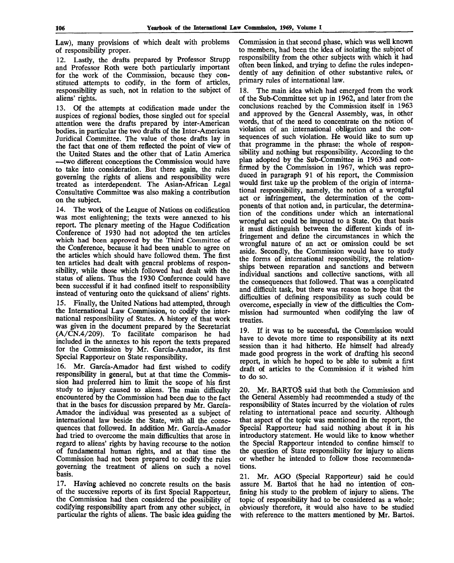Law), many provisions of which dealt with problems of responsibility proper.

12. Lastly, the drafts prepared by Professor Strupp and Professor Roth were both particularly important for the work of the Commission, because they constituted attempts to codify, in the form of articles, responsibility as such, not in relation to the subject of aliens' rights.

13. Of the attempts at codification made under the auspices of regional bodies, those singled out for special attention were the drafts prepared by inter-American bodies, in particular the two drafts of the Inter-American Juridical Committee. The value of those drafts lay in the fact that one of them reflected the point of view of the United States and the other that of Latin America —two different conceptions the Commission would have to take into consideration. But there again, the rules governing the rights of aliens and responsibility were treated as interdependent. The Asian-African Legal Consultative Committee was also making a contribution on the subject.

14. The work of the League of Nations on codification was most enlightening; the texts were annexed to his report. The plenary meeting of the Hague Codification Conference of 1930 had not adopted the ten articles which had been approved by the Third Committee of the Conference, because it had been unable to agree on the articles which should have followed them. The first ten articles had dealt with general problems of responsibility, while those which followed had dealt with the status of aliens. Thus the 1930 Conference could have been successful if it had confined itself to responsibility instead of venturing onto the quicksand of aliens' rights.

15. Finally, the United Nations had attempted, through the International Law Commission, to codify the international responsibility of States. A history of that work was given in the document prepared by the Secretariat (A/CN.4/209). To facilitate comparison he had included in the annexes to his report the texts prepared for the Commission by Mr. Garcia-Amador, its first Special Rapporteur on State responsibility.

16. Mr. Garcia-Amador had first wished to codify responsibility in general, but at that time the Commission had preferred him to limit the scope of his first study to injury caused to aliens. The main difficulty encountered by the Commission had been due to the fact that in the bases for discussion prepared by Mr. Garcia-Amador the individual was presented as a subject of international law beside the State, with all the consequences that followed. In addition Mr. Garcia-Amador had tried to overcome the main difficulties that arose in regard to aliens' rights by having recourse to the notion of fundamental human rights, and at that time the Commission had not been prepared to codify the rules governing the treatment of aliens on such a novel basis.

17. Having achieved no concrete results on the basis of the successive reports of its first Special Rapporteur, the Commission had then considered the possibility of codifying responsibility apart from any other subject, in particular the rights of aliens. The basic idea guiding the

Commission in that second phase, which was well known to members, had been the idea of isolating the subject of responsibility from the other subjects with which it had often been linked, and trying to define the rules independently of any definition of other substantive rules, or primary rules of international law.

18. The main idea which had emerged from the work of the Sub-Committee set up in 1962, and later from the conclusions reached by the Commission itself in 1963 and approved by the General Assembly, was, in other words, that of the need to concentrate on the notion of violation of an international obligation and the consequences of such violation. He would like to sum up that programme in the phrase: the whole of responsibility and nothing but responsibility. According to the plan adopted by the Sub-Committee in 1963 and confirmed by the Commission in 1967, which was reproduced in paragraph 91 of his report, the Commission would first take up the problem of the origin of international responsibility, namely, the notion of a wrongful act or infringement, the determination of the components of that notion and, in particular, the determination of the conditions under which an international wrongful act could be imputed to a State. On that basis it must distinguish between the different kinds of infringement and define the circumstances in which the wrongful nature of an act or omission could be set aside. Secondly, the Commission would have to study the forms of international responsibility, the relationships between reparation and sanctions and between individual sanctions and collective sanctions, with all the consequences that followed. That was a complicated and difficult task, but there was reason to hope that the difficulties of defining responsibility as such could be overcome, especially in view of the difficulties the Commission had surmounted when codifying the law of treaties.

19. If it was to be successful, the Commission would have to devote more time to responsibility at its next session than it had hitherto. He himself had already made good progress in the work of drafting his second report, in which he hoped to be able to submit a first draft of articles to the Commission if it wished him to do so.

20. Mr. BARTOS said that both the Commission and the General Assembly had recommended a study of the responsibility of States incurred by the violation of rules relating to international peace and security. Although that aspect of the topic was mentioned in the report, the Special Rapporteur had said nothing about it in his introductory statement. He would like to know whether the Special Rapporteur intended to confine himself to the question of State responsibility for injury to aliens or whether he intended to follow those recommendations.

21. Mr. AGO (Special Rapporteur) said he could assure M. Bartos that he had no intention of confining his study to the problem of injury to aliens. The topic of responsibility had to be considered as a whole; obviously therefore, it would also have to be studied with reference to the matters mentioned by Mr. Bartos.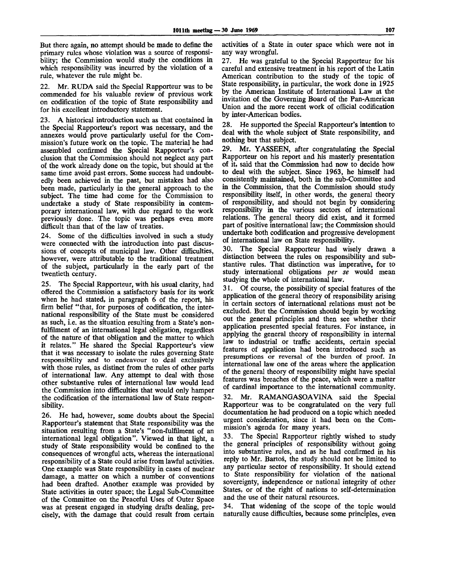But there again, no attempt should be made to define the primary rules whose violation was a source of responsibility; the Commission would study the conditions in which responsibility was incurred by the violation of a rule, whatever the rule might be.

22. Mr. RUDA said the Special Rapporteur was to be commended for his valuable review of previous work on codification of the topic of State responsibility and for his excellent introductory statement.

23. A historical introduction such as that contained in the Special Rapporteur's report was necessary, and the annexes would prove particularly useful for the Commission's future work on the topic. The material he had assembled confirmed the Special Rapporteur's conclusion that the Commission should not neglect any part of the work already done on the topic, but should at the same time avoid past errors. Some success had undoubtedly been achieved in the past, but mistakes had also been made, particularly in the general approach to the subject. The time had come for the Commission to undertake a study of State responsibility in contemporary international law, with due regard to the work previously done. The topic was perhaps even more difficult than that of the law of treaties.

24. Some of the difficulties involved in such a study were connected with the introduction into past discussions of concepts of municipal law. Other difficulties, however, were attributable to the traditional treatment of the subject, particularly in the early part of the twentieth century.

25. The Special Rapporteur, with his usual clarity, had offered the Commission a satisfactory basis for its work when he had stated, in paragraph 6 of the report, his firm belief "that, for purposes of codification, the international responsibility of the State must be considered as such, i.e. as the situation resulting from a State's nonfulfilment of an international legal obligation, regardless of the nature of that obligation and the matter to which it relates." He shared the Special Rapporteur's view that it was necessary to isolate the rules governing State responsibility and to endeavour to deal exclusively with those rules, as distinct from the rules of other parts of international law. Any attempt to deal with those other substantive rules of international law would lead the Commission into difficulties that would only hamper the codification of the international law of State responsibility.

26. He had, however, some doubts about the Special Rapporteur's statement that State responsibility was the situation resulting from a State's "non-fulfilment of an international legal obligation". Viewed in that light, a study of State responsibility would be confined to the consequences of wrongful acts, whereas the international responsibility of a State could arise from lawful activities. One example was State responsibility in cases of nuclear damage, a matter on which a number of conventions had been drafted. Another example was provided by State activities in outer space; the Legal Sub-Committee of the Committee on the Peaceful Uses of Outer Space was at present engaged in studying drafts dealing, precisely, with the damage that could result from certain

activities of a State in outer space which were not in any way wrongful.

27. He was grateful to the Special Rapporteur for his careful and extensive treatment in his report of the Latin American contribution to the study of the topic of State responsibility, in particular, the work done in 1925 by the American Institute of International Law at the invitation of the Governing Board of the Pan-American Union and the more recent work of official codification by inter-American bodies.

28. He supported the Special Rapporteur's intention to deal with the whole subject of State responsibility, and nothing but that subject.

29. Mr. YASSEEN, after congratulating the Special Rapporteur on his report and his masterly presentation of it, said that the Commission had now to decide how to deal with the subject. Since 1963, he himself had consistently maintained, both in the sub-Committee and in the Commission, that the Commission should study responsibility itself, in other words, the general theory of responsibility, and should not begin by considering responsibility in the various sectors of international relations. The general theory did exist, and it formed part of positive international law; the Commission should undertake both codification and progressive development of international law on State responsibility.

30. The Special Rapporteur had wisely drawn a distinction between the rules on responsibility and substantive rules. That distinction was imperative, for to study international obligations *per se* would mean studying the whole of international law.

31. Of course, the possibility of special features of the application of the general theory of responsibility arising in certain sectors of international relations must not be excluded. But the Commission should begin by working out the general principles and then see whether their application presented special features. For instance, in applying the general theory of responsibility in internal law to industrial or traffic accidents, certain special features of application had been introduced such as presumptions or reversal of the burden of proof. In international law one of the areas where the application of the general theory of responsibility might have special features was breaches of the peace, which were a matter of cardinal importance to the international community.

32. Mr. RAMANGASOAVINA said the Special Rapporteur was to be congratulated on the very full documentation he had produced on a topic which needed urgent consideration, since it had been on the Commission's agenda for many years.

33. The Special Rapporteur rightly wished to study the general principles of responsibility without going into substantive rules, and as he had confirmed in his reply to Mr. Bartos, the study should not be limited to any particular sector of responsibility. It should extend to State responsibility for violation of the national sovereignty, independence or national integrity of other States, or of the right of nations to self-determination and the use of their natural resources.

34. That widening of the scope of the topic would naturally cause difficulties, because some principles, even